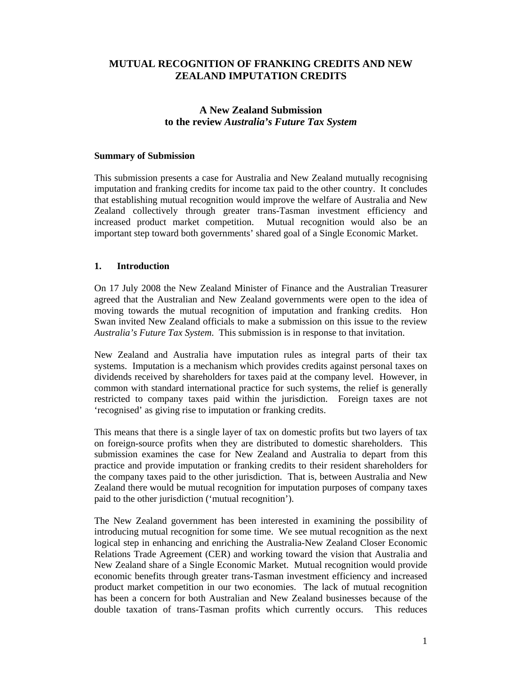### **MUTUAL RECOGNITION OF FRANKING CREDITS AND NEW ZEALAND IMPUTATION CREDITS**

## **A New Zealand Submission to the review** *Australia's Future Tax System*

#### **Summary of Submission**

This submission presents a case for Australia and New Zealand mutually recognising imputation and franking credits for income tax paid to the other country. It concludes that establishing mutual recognition would improve the welfare of Australia and New Zealand collectively through greater trans-Tasman investment efficiency and increased product market competition. Mutual recognition would also be an important step toward both governments' shared goal of a Single Economic Market.

#### **1. Introduction**

On 17 July 2008 the New Zealand Minister of Finance and the Australian Treasurer agreed that the Australian and New Zealand governments were open to the idea of moving towards the mutual recognition of imputation and franking credits. Hon Swan invited New Zealand officials to make a submission on this issue to the review *Australia's Future Tax System*. This submission is in response to that invitation.

New Zealand and Australia have imputation rules as integral parts of their tax systems. Imputation is a mechanism which provides credits against personal taxes on dividends received by shareholders for taxes paid at the company level. However, in common with standard international practice for such systems, the relief is generally restricted to company taxes paid within the jurisdiction. Foreign taxes are not 'recognised' as giving rise to imputation or franking credits.

This means that there is a single layer of tax on domestic profits but two layers of tax on foreign-source profits when they are distributed to domestic shareholders. This submission examines the case for New Zealand and Australia to depart from this practice and provide imputation or franking credits to their resident shareholders for the company taxes paid to the other jurisdiction. That is, between Australia and New Zealand there would be mutual recognition for imputation purposes of company taxes paid to the other jurisdiction ('mutual recognition').

The New Zealand government has been interested in examining the possibility of introducing mutual recognition for some time. We see mutual recognition as the next logical step in enhancing and enriching the Australia-New Zealand Closer Economic Relations Trade Agreement (CER) and working toward the vision that Australia and New Zealand share of a Single Economic Market. Mutual recognition would provide economic benefits through greater trans-Tasman investment efficiency and increased product market competition in our two economies. The lack of mutual recognition has been a concern for both Australian and New Zealand businesses because of the double taxation of trans-Tasman profits which currently occurs. This reduces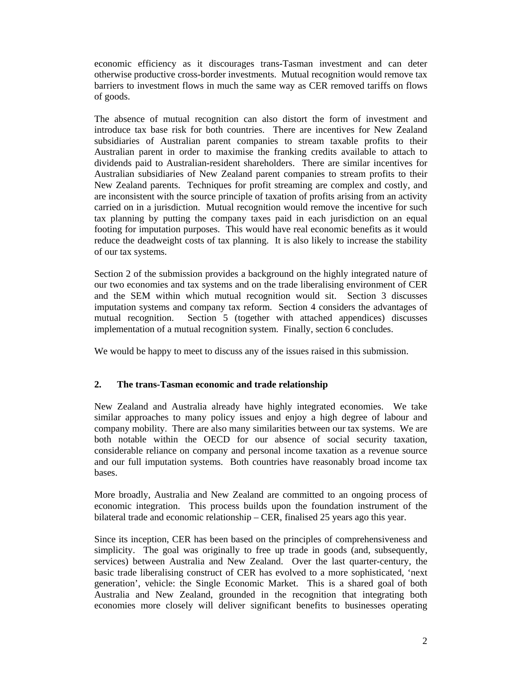economic efficiency as it discourages trans-Tasman investment and can deter otherwise productive cross-border investments. Mutual recognition would remove tax barriers to investment flows in much the same way as CER removed tariffs on flows of goods.

The absence of mutual recognition can also distort the form of investment and introduce tax base risk for both countries. There are incentives for New Zealand subsidiaries of Australian parent companies to stream taxable profits to their Australian parent in order to maximise the franking credits available to attach to dividends paid to Australian-resident shareholders. There are similar incentives for Australian subsidiaries of New Zealand parent companies to stream profits to their New Zealand parents. Techniques for profit streaming are complex and costly, and are inconsistent with the source principle of taxation of profits arising from an activity carried on in a jurisdiction. Mutual recognition would remove the incentive for such tax planning by putting the company taxes paid in each jurisdiction on an equal footing for imputation purposes. This would have real economic benefits as it would reduce the deadweight costs of tax planning. It is also likely to increase the stability of our tax systems.

Section 2 of the submission provides a background on the highly integrated nature of our two economies and tax systems and on the trade liberalising environment of CER and the SEM within which mutual recognition would sit. Section 3 discusses imputation systems and company tax reform. Section 4 considers the advantages of mutual recognition. Section 5 (together with attached appendices) discusses implementation of a mutual recognition system. Finally, section 6 concludes.

We would be happy to meet to discuss any of the issues raised in this submission.

### **2. The trans-Tasman economic and trade relationship**

New Zealand and Australia already have highly integrated economies. We take similar approaches to many policy issues and enjoy a high degree of labour and company mobility. There are also many similarities between our tax systems. We are both notable within the OECD for our absence of social security taxation, considerable reliance on company and personal income taxation as a revenue source and our full imputation systems. Both countries have reasonably broad income tax bases.

More broadly, Australia and New Zealand are committed to an ongoing process of economic integration. This process builds upon the foundation instrument of the bilateral trade and economic relationship – CER, finalised 25 years ago this year.

Since its inception, CER has been based on the principles of comprehensiveness and simplicity. The goal was originally to free up trade in goods (and, subsequently, services) between Australia and New Zealand. Over the last quarter-century, the basic trade liberalising construct of CER has evolved to a more sophisticated, 'next generation', vehicle: the Single Economic Market. This is a shared goal of both Australia and New Zealand, grounded in the recognition that integrating both economies more closely will deliver significant benefits to businesses operating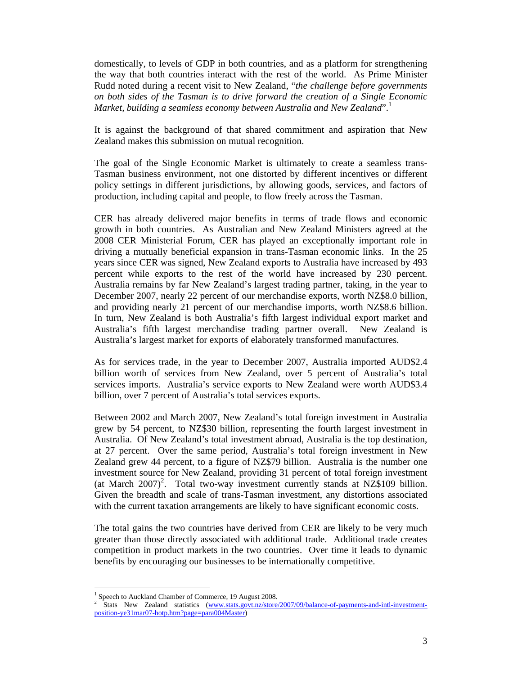domestically, to levels of GDP in both countries, and as a platform for strengthening the way that both countries interact with the rest of the world. As Prime Minister Rudd noted during a recent visit to New Zealand, "*the challenge before governments on both sides of the Tasman is to drive forward the creation of a Single Economic Market, building a seamless economy between Australia and New Zealand*".<sup>1</sup>

It is against the background of that shared commitment and aspiration that New Zealand makes this submission on mutual recognition.

The goal of the Single Economic Market is ultimately to create a seamless trans-Tasman business environment, not one distorted by different incentives or different policy settings in different jurisdictions, by allowing goods, services, and factors of production, including capital and people, to flow freely across the Tasman.

CER has already delivered major benefits in terms of trade flows and economic growth in both countries. As Australian and New Zealand Ministers agreed at the 2008 CER Ministerial Forum, CER has played an exceptionally important role in driving a mutually beneficial expansion in trans-Tasman economic links. In the 25 years since CER was signed, New Zealand exports to Australia have increased by 493 percent while exports to the rest of the world have increased by 230 percent. Australia remains by far New Zealand's largest trading partner, taking, in the year to December 2007, nearly 22 percent of our merchandise exports, worth NZ\$8.0 billion, and providing nearly 21 percent of our merchandise imports, worth NZ\$8.6 billion. In turn, New Zealand is both Australia's fifth largest individual export market and Australia's fifth largest merchandise trading partner overall. New Zealand is Australia's largest market for exports of elaborately transformed manufactures.

As for services trade, in the year to December 2007, Australia imported AUD\$2.4 billion worth of services from New Zealand, over 5 percent of Australia's total services imports. Australia's service exports to New Zealand were worth AUD\$3.4 billion, over 7 percent of Australia's total services exports.

Between 2002 and March 2007, New Zealand's total foreign investment in Australia grew by 54 percent, to NZ\$30 billion, representing the fourth largest investment in Australia. Of New Zealand's total investment abroad, Australia is the top destination, at 27 percent. Over the same period, Australia's total foreign investment in New Zealand grew 44 percent, to a figure of NZ\$79 billion. Australia is the number one investment source for New Zealand, providing 31 percent of total foreign investment (at March  $2007$ )<sup>2</sup>. Total two-way investment currently stands at NZ\$109 billion. Given the breadth and scale of trans-Tasman investment, any distortions associated with the current taxation arrangements are likely to have significant economic costs.

The total gains the two countries have derived from CER are likely to be very much greater than those directly associated with additional trade. Additional trade creates competition in product markets in the two countries. Over time it leads to dynamic benefits by encouraging our businesses to be internationally competitive.

l

<sup>&</sup>lt;sup>1</sup> Speech to Auckland Chamber of Commerce, 19 August 2008.

<sup>&</sup>lt;sup>2</sup> Stats New Zealand statistics (www.stats.govt.nz/store/2007/09/balance-of-payments-and-intl-investmentposition-ye31mar07-hotp.htm?page=para004Master)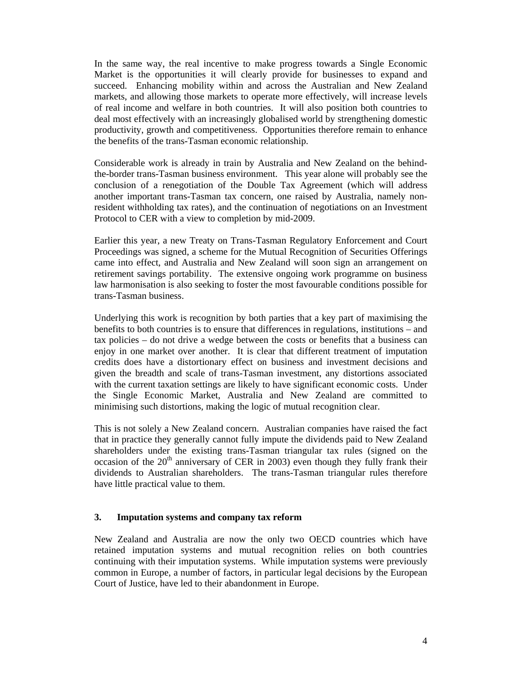In the same way, the real incentive to make progress towards a Single Economic Market is the opportunities it will clearly provide for businesses to expand and succeed. Enhancing mobility within and across the Australian and New Zealand markets, and allowing those markets to operate more effectively, will increase levels of real income and welfare in both countries. It will also position both countries to deal most effectively with an increasingly globalised world by strengthening domestic productivity, growth and competitiveness. Opportunities therefore remain to enhance the benefits of the trans-Tasman economic relationship.

Considerable work is already in train by Australia and New Zealand on the behindthe-border trans-Tasman business environment. This year alone will probably see the conclusion of a renegotiation of the Double Tax Agreement (which will address another important trans-Tasman tax concern, one raised by Australia, namely nonresident withholding tax rates), and the continuation of negotiations on an Investment Protocol to CER with a view to completion by mid-2009.

Earlier this year, a new Treaty on Trans-Tasman Regulatory Enforcement and Court Proceedings was signed, a scheme for the Mutual Recognition of Securities Offerings came into effect, and Australia and New Zealand will soon sign an arrangement on retirement savings portability. The extensive ongoing work programme on business law harmonisation is also seeking to foster the most favourable conditions possible for trans-Tasman business.

Underlying this work is recognition by both parties that a key part of maximising the benefits to both countries is to ensure that differences in regulations, institutions – and tax policies – do not drive a wedge between the costs or benefits that a business can enjoy in one market over another. It is clear that different treatment of imputation credits does have a distortionary effect on business and investment decisions and given the breadth and scale of trans-Tasman investment, any distortions associated with the current taxation settings are likely to have significant economic costs. Under the Single Economic Market, Australia and New Zealand are committed to minimising such distortions, making the logic of mutual recognition clear.

This is not solely a New Zealand concern. Australian companies have raised the fact that in practice they generally cannot fully impute the dividends paid to New Zealand shareholders under the existing trans-Tasman triangular tax rules (signed on the occasion of the  $20<sup>th</sup>$  anniversary of CER in 2003) even though they fully frank their dividends to Australian shareholders. The trans-Tasman triangular rules therefore have little practical value to them.

#### **3. Imputation systems and company tax reform**

New Zealand and Australia are now the only two OECD countries which have retained imputation systems and mutual recognition relies on both countries continuing with their imputation systems. While imputation systems were previously common in Europe, a number of factors, in particular legal decisions by the European Court of Justice, have led to their abandonment in Europe.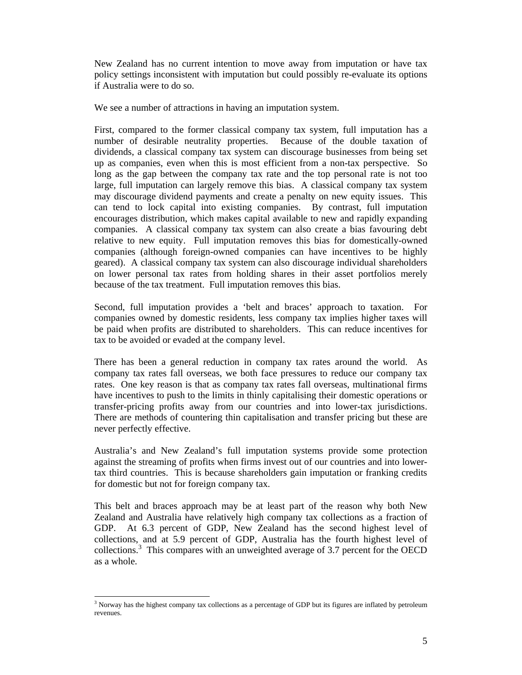New Zealand has no current intention to move away from imputation or have tax policy settings inconsistent with imputation but could possibly re-evaluate its options if Australia were to do so.

We see a number of attractions in having an imputation system.

First, compared to the former classical company tax system, full imputation has a number of desirable neutrality properties. Because of the double taxation of dividends, a classical company tax system can discourage businesses from being set up as companies, even when this is most efficient from a non-tax perspective. So long as the gap between the company tax rate and the top personal rate is not too large, full imputation can largely remove this bias. A classical company tax system may discourage dividend payments and create a penalty on new equity issues. This can tend to lock capital into existing companies. By contrast, full imputation encourages distribution, which makes capital available to new and rapidly expanding companies. A classical company tax system can also create a bias favouring debt relative to new equity. Full imputation removes this bias for domestically-owned companies (although foreign-owned companies can have incentives to be highly geared). A classical company tax system can also discourage individual shareholders on lower personal tax rates from holding shares in their asset portfolios merely because of the tax treatment. Full imputation removes this bias.

Second, full imputation provides a 'belt and braces' approach to taxation. For companies owned by domestic residents, less company tax implies higher taxes will be paid when profits are distributed to shareholders. This can reduce incentives for tax to be avoided or evaded at the company level.

There has been a general reduction in company tax rates around the world. As company tax rates fall overseas, we both face pressures to reduce our company tax rates. One key reason is that as company tax rates fall overseas, multinational firms have incentives to push to the limits in thinly capitalising their domestic operations or transfer-pricing profits away from our countries and into lower-tax jurisdictions. There are methods of countering thin capitalisation and transfer pricing but these are never perfectly effective.

Australia's and New Zealand's full imputation systems provide some protection against the streaming of profits when firms invest out of our countries and into lowertax third countries. This is because shareholders gain imputation or franking credits for domestic but not for foreign company tax.

This belt and braces approach may be at least part of the reason why both New Zealand and Australia have relatively high company tax collections as a fraction of GDP. At 6.3 percent of GDP, New Zealand has the second highest level of collections, and at 5.9 percent of GDP, Australia has the fourth highest level of collections.<sup>3</sup> This compares with an unweighted average of 3.7 percent for the OECD as a whole.

l

<sup>&</sup>lt;sup>3</sup> Norway has the highest company tax collections as a percentage of GDP but its figures are inflated by petroleum revenues.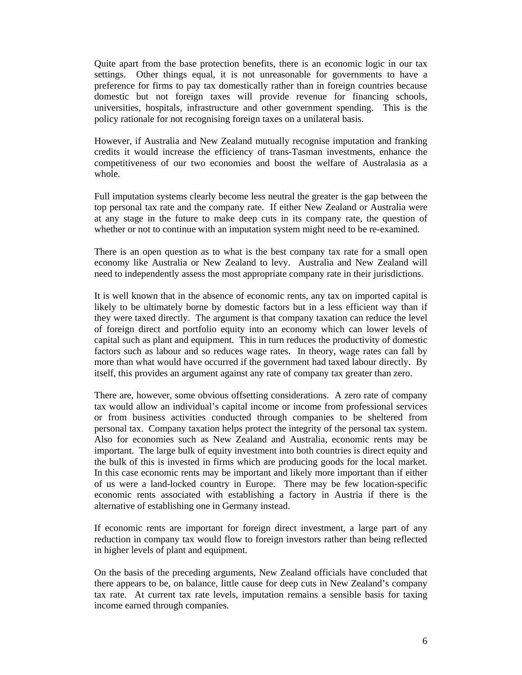Quite apart from the base protection benefits, there is an economic logic in our tax settings. Other things equal, it is not unreasonable for governments to have a preference for firms to pay tax domestically rather than in foreign countries because domestic but not foreign taxes will provide revenue for financing schools, universities, hospitals, infrastructure and other government spending. This is the policy rationale for not recognising foreign taxes on a unilateral basis.

However, if Australia and New Zealand mutually recognise imputation and franking credits it would increase the efficiency of trans-Tasman investments, enhance the competitiveness of our two economies and boost the welfare of Australasia as a whole.

Full imputation systems clearly become less neutral the greater is the gap between the top personal tax rate and the company rate. If either New Zealand or Australia were at any stage in the future to make deep cuts in its company rate, the question of whether or not to continue with an imputation system might need to be re-examined.

There is an open question as to what is the best company tax rate for a small open economy like Australia or New Zealand to levy. Australia and New Zealand will need to independently assess the most appropriate company rate in their jurisdictions.

It is well known that in the absence of economic rents, any tax on imported capital is likely to be ultimately borne by domestic factors but in a less efficient way than if they were taxed directly. The argument is that company taxation can reduce the level of foreign direct and portfolio equity into an economy which can lower levels of capital such as plant and equipment. This in turn reduces the productivity of domestic factors such as labour and so reduces wage rates. In theory, wage rates can fall by more than what would have occurred if the government had taxed labour directly. By itself, this provides an argument against any rate of company tax greater than zero.

There are, however, some obvious offsetting considerations. A zero rate of company tax would allow an individual's capital income or income from professional services or from business activities conducted through companies to be sheltered from personal tax. Company taxation helps protect the integrity of the personal tax system. Also for economies such as New Zealand and Australia, economic rents may be important. The large bulk of equity investment into both countries is direct equity and the bulk of this is invested in firms which are producing goods for the local market. In this case economic rents may be important and likely more important than if either of us were a land-locked country in Europe. There may be few location-specific economic rents associated with establishing a factory in Austria if there is the alternative of establishing one in Germany instead.

If economic rents are important for foreign direct investment, a large part of any reduction in company tax would flow to foreign investors rather than being reflected in higher levels of plant and equipment.

On the basis of the preceding arguments, New Zealand officials have concluded that there appears to be, on balance, little cause for deep cuts in New Zealand's company tax rate. At current tax rate levels, imputation remains a sensible basis for taxing income earned through companies.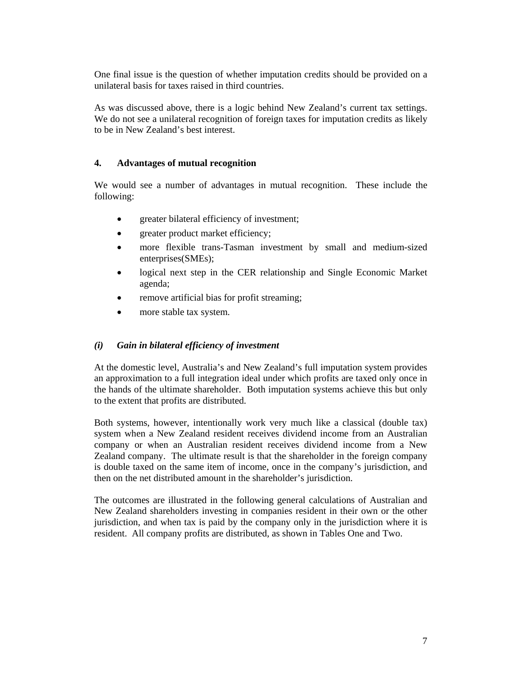One final issue is the question of whether imputation credits should be provided on a unilateral basis for taxes raised in third countries.

As was discussed above, there is a logic behind New Zealand's current tax settings. We do not see a unilateral recognition of foreign taxes for imputation credits as likely to be in New Zealand's best interest.

#### **4. Advantages of mutual recognition**

We would see a number of advantages in mutual recognition. These include the following:

- greater bilateral efficiency of investment;
- greater product market efficiency;
- more flexible trans-Tasman investment by small and medium-sized enterprises(SMEs);
- logical next step in the CER relationship and Single Economic Market agenda;
- remove artificial bias for profit streaming;
- more stable tax system.

#### *(i) Gain in bilateral efficiency of investment*

At the domestic level, Australia's and New Zealand's full imputation system provides an approximation to a full integration ideal under which profits are taxed only once in the hands of the ultimate shareholder. Both imputation systems achieve this but only to the extent that profits are distributed.

Both systems, however, intentionally work very much like a classical (double tax) system when a New Zealand resident receives dividend income from an Australian company or when an Australian resident receives dividend income from a New Zealand company. The ultimate result is that the shareholder in the foreign company is double taxed on the same item of income, once in the company's jurisdiction, and then on the net distributed amount in the shareholder's jurisdiction.

The outcomes are illustrated in the following general calculations of Australian and New Zealand shareholders investing in companies resident in their own or the other jurisdiction, and when tax is paid by the company only in the jurisdiction where it is resident. All company profits are distributed, as shown in Tables One and Two.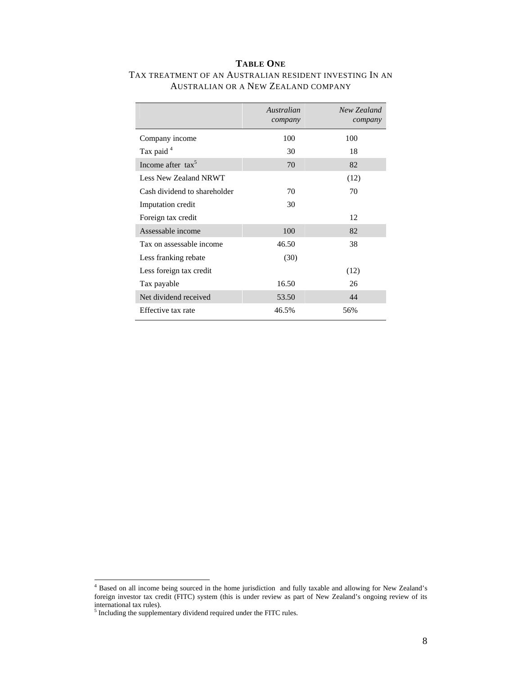#### **TABLE ONE**

|                              | Australian<br>company | New Zealand<br>company |
|------------------------------|-----------------------|------------------------|
| Company income               | 100                   | 100                    |
| Tax paid <sup>4</sup>        | 30                    | 18                     |
| Income after $\text{tax}^5$  | 70                    | 82                     |
| Less New Zealand NRWT        |                       | (12)                   |
| Cash dividend to shareholder | 70                    | 70                     |
| Imputation credit            | 30                    |                        |
| Foreign tax credit           |                       | 12                     |
| Assessable income            | 100                   | 82                     |
| Tax on assessable income     | 46.50                 | 38                     |
| Less franking rebate         | (30)                  |                        |
| Less foreign tax credit      |                       | (12)                   |
| Tax payable                  | 16.50                 | 26                     |
| Net dividend received        | 53.50                 | 44                     |
| Effective tax rate           | 46.5%                 | 56%                    |

### TAX TREATMENT OF AN AUSTRALIAN RESIDENT INVESTING IN AN AUSTRALIAN OR A NEW ZEALAND COMPANY

 4 Based on all income being sourced in the home jurisdiction and fully taxable and allowing for New Zealand's foreign investor tax credit (FITC) system (this is under review as part of New Zealand's ongoing review of its international tax rules).<br><sup>5</sup> Including the supplementary dividend required under the FITC rules.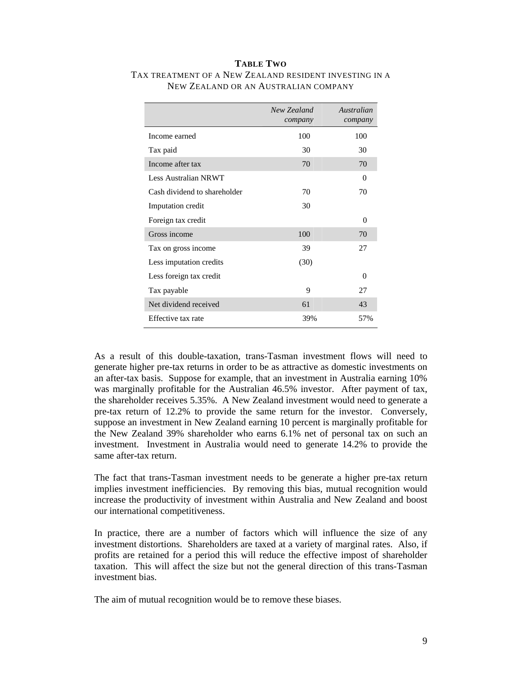#### **TABLE TWO** TAX TREATMENT OF A NEW ZEALAND RESIDENT INVESTING IN A NEW ZEALAND OR AN AUSTRALIAN COMPANY

|                              | New Zealand<br>company | Australian<br>company |
|------------------------------|------------------------|-----------------------|
| Income earned                | 100                    | 100                   |
| Tax paid                     | 30                     | 30                    |
| Income after tax             | 70                     | 70                    |
| <b>Less Australian NRWT</b>  |                        | $\Omega$              |
| Cash dividend to shareholder | 70                     | 70                    |
| Imputation credit            | 30                     |                       |
| Foreign tax credit           |                        | $\theta$              |
| Gross income                 | 100                    | 70                    |
| Tax on gross income          | 39                     | 27                    |
| Less imputation credits      | (30)                   |                       |
| Less foreign tax credit      |                        | $\Omega$              |
| Tax payable                  | 9                      | 27                    |
| Net dividend received        | 61                     | 43                    |
| Effective tax rate           | 39%                    | 57%                   |

As a result of this double-taxation, trans-Tasman investment flows will need to generate higher pre-tax returns in order to be as attractive as domestic investments on an after-tax basis. Suppose for example, that an investment in Australia earning 10% was marginally profitable for the Australian 46.5% investor. After payment of tax, the shareholder receives 5.35%. A New Zealand investment would need to generate a pre-tax return of 12.2% to provide the same return for the investor. Conversely, suppose an investment in New Zealand earning 10 percent is marginally profitable for the New Zealand 39% shareholder who earns 6.1% net of personal tax on such an investment. Investment in Australia would need to generate 14.2% to provide the same after-tax return.

The fact that trans-Tasman investment needs to be generate a higher pre-tax return implies investment inefficiencies. By removing this bias, mutual recognition would increase the productivity of investment within Australia and New Zealand and boost our international competitiveness.

In practice, there are a number of factors which will influence the size of any investment distortions. Shareholders are taxed at a variety of marginal rates. Also, if profits are retained for a period this will reduce the effective impost of shareholder taxation. This will affect the size but not the general direction of this trans-Tasman investment bias.

The aim of mutual recognition would be to remove these biases.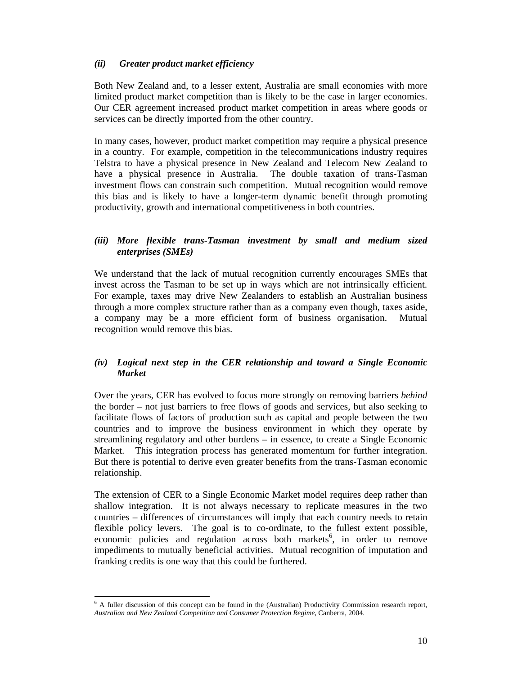### *(ii) Greater product market efficiency*

Both New Zealand and, to a lesser extent, Australia are small economies with more limited product market competition than is likely to be the case in larger economies. Our CER agreement increased product market competition in areas where goods or services can be directly imported from the other country.

In many cases, however, product market competition may require a physical presence in a country. For example, competition in the telecommunications industry requires Telstra to have a physical presence in New Zealand and Telecom New Zealand to have a physical presence in Australia. The double taxation of trans-Tasman investment flows can constrain such competition. Mutual recognition would remove this bias and is likely to have a longer-term dynamic benefit through promoting productivity, growth and international competitiveness in both countries.

### *(iii) More flexible trans-Tasman investment by small and medium sized enterprises (SMEs)*

We understand that the lack of mutual recognition currently encourages SMEs that invest across the Tasman to be set up in ways which are not intrinsically efficient. For example, taxes may drive New Zealanders to establish an Australian business through a more complex structure rather than as a company even though, taxes aside, a company may be a more efficient form of business organisation. Mutual recognition would remove this bias.

### *(iv) Logical next step in the CER relationship and toward a Single Economic Market*

Over the years, CER has evolved to focus more strongly on removing barriers *behind*  the border – not just barriers to free flows of goods and services, but also seeking to facilitate flows of factors of production such as capital and people between the two countries and to improve the business environment in which they operate by streamlining regulatory and other burdens – in essence, to create a Single Economic Market. This integration process has generated momentum for further integration. But there is potential to derive even greater benefits from the trans-Tasman economic relationship.

The extension of CER to a Single Economic Market model requires deep rather than shallow integration. It is not always necessary to replicate measures in the two countries – differences of circumstances will imply that each country needs to retain flexible policy levers. The goal is to co-ordinate, to the fullest extent possible, economic policies and regulation across both markets<sup>6</sup>, in order to remove impediments to mutually beneficial activities. Mutual recognition of imputation and franking credits is one way that this could be furthered.

l <sup>6</sup> A fuller discussion of this concept can be found in the (Australian) Productivity Commission research report, *Australian and New Zealand Competition and Consumer Protection Regime*, Canberra, 2004.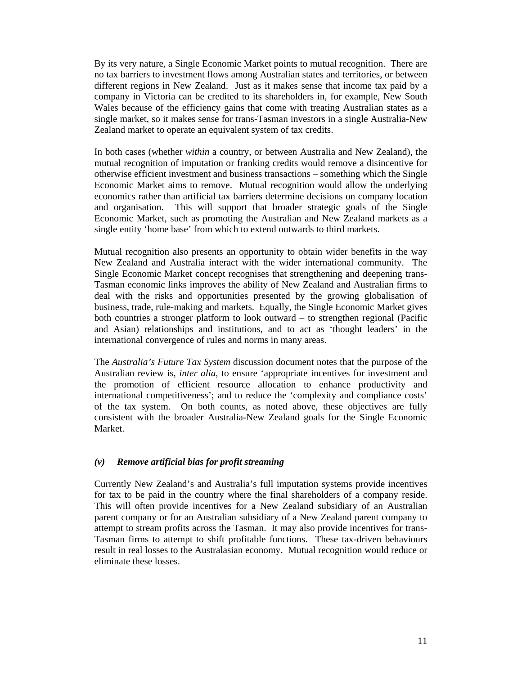By its very nature, a Single Economic Market points to mutual recognition. There are no tax barriers to investment flows among Australian states and territories, or between different regions in New Zealand. Just as it makes sense that income tax paid by a company in Victoria can be credited to its shareholders in, for example, New South Wales because of the efficiency gains that come with treating Australian states as a single market, so it makes sense for trans-Tasman investors in a single Australia-New Zealand market to operate an equivalent system of tax credits.

In both cases (whether *within* a country, or between Australia and New Zealand), the mutual recognition of imputation or franking credits would remove a disincentive for otherwise efficient investment and business transactions – something which the Single Economic Market aims to remove. Mutual recognition would allow the underlying economics rather than artificial tax barriers determine decisions on company location and organisation. This will support that broader strategic goals of the Single Economic Market, such as promoting the Australian and New Zealand markets as a single entity 'home base' from which to extend outwards to third markets.

Mutual recognition also presents an opportunity to obtain wider benefits in the way New Zealand and Australia interact with the wider international community. The Single Economic Market concept recognises that strengthening and deepening trans-Tasman economic links improves the ability of New Zealand and Australian firms to deal with the risks and opportunities presented by the growing globalisation of business, trade, rule-making and markets. Equally, the Single Economic Market gives both countries a stronger platform to look outward – to strengthen regional (Pacific and Asian) relationships and institutions, and to act as 'thought leaders' in the international convergence of rules and norms in many areas.

The *Australia's Future Tax System* discussion document notes that the purpose of the Australian review is, *inter alia*, to ensure 'appropriate incentives for investment and the promotion of efficient resource allocation to enhance productivity and international competitiveness'; and to reduce the 'complexity and compliance costs' of the tax system. On both counts, as noted above, these objectives are fully consistent with the broader Australia-New Zealand goals for the Single Economic Market.

#### *(v) Remove artificial bias for profit streaming*

Currently New Zealand's and Australia's full imputation systems provide incentives for tax to be paid in the country where the final shareholders of a company reside. This will often provide incentives for a New Zealand subsidiary of an Australian parent company or for an Australian subsidiary of a New Zealand parent company to attempt to stream profits across the Tasman. It may also provide incentives for trans-Tasman firms to attempt to shift profitable functions. These tax-driven behaviours result in real losses to the Australasian economy. Mutual recognition would reduce or eliminate these losses.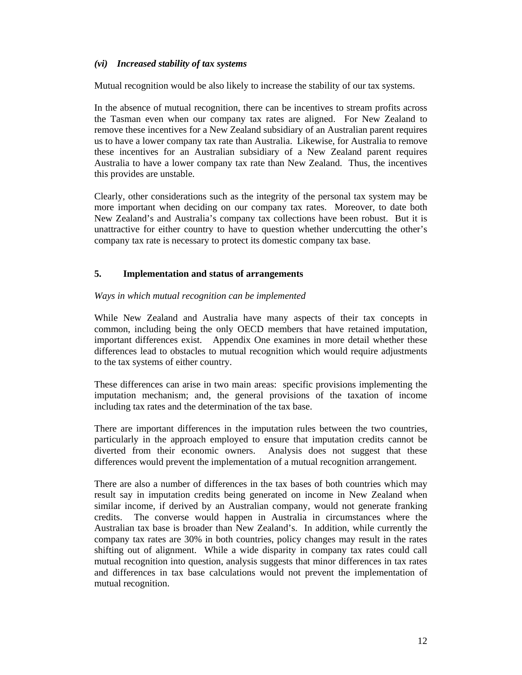#### *(vi) Increased stability of tax systems*

Mutual recognition would be also likely to increase the stability of our tax systems.

In the absence of mutual recognition, there can be incentives to stream profits across the Tasman even when our company tax rates are aligned. For New Zealand to remove these incentives for a New Zealand subsidiary of an Australian parent requires us to have a lower company tax rate than Australia. Likewise, for Australia to remove these incentives for an Australian subsidiary of a New Zealand parent requires Australia to have a lower company tax rate than New Zealand. Thus, the incentives this provides are unstable.

Clearly, other considerations such as the integrity of the personal tax system may be more important when deciding on our company tax rates. Moreover, to date both New Zealand's and Australia's company tax collections have been robust. But it is unattractive for either country to have to question whether undercutting the other's company tax rate is necessary to protect its domestic company tax base.

### **5. Implementation and status of arrangements**

### *Ways in which mutual recognition can be implemented*

While New Zealand and Australia have many aspects of their tax concepts in common, including being the only OECD members that have retained imputation, important differences exist. Appendix One examines in more detail whether these differences lead to obstacles to mutual recognition which would require adjustments to the tax systems of either country.

These differences can arise in two main areas: specific provisions implementing the imputation mechanism; and, the general provisions of the taxation of income including tax rates and the determination of the tax base.

There are important differences in the imputation rules between the two countries, particularly in the approach employed to ensure that imputation credits cannot be diverted from their economic owners. Analysis does not suggest that these differences would prevent the implementation of a mutual recognition arrangement.

There are also a number of differences in the tax bases of both countries which may result say in imputation credits being generated on income in New Zealand when similar income, if derived by an Australian company, would not generate franking credits. The converse would happen in Australia in circumstances where the Australian tax base is broader than New Zealand's. In addition, while currently the company tax rates are 30% in both countries, policy changes may result in the rates shifting out of alignment. While a wide disparity in company tax rates could call mutual recognition into question, analysis suggests that minor differences in tax rates and differences in tax base calculations would not prevent the implementation of mutual recognition.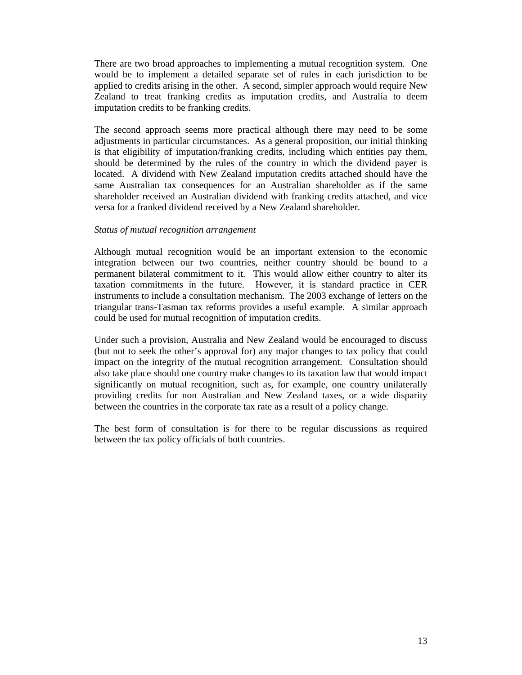There are two broad approaches to implementing a mutual recognition system. One would be to implement a detailed separate set of rules in each jurisdiction to be applied to credits arising in the other. A second, simpler approach would require New Zealand to treat franking credits as imputation credits, and Australia to deem imputation credits to be franking credits.

The second approach seems more practical although there may need to be some adjustments in particular circumstances. As a general proposition, our initial thinking is that eligibility of imputation/franking credits, including which entities pay them, should be determined by the rules of the country in which the dividend payer is located. A dividend with New Zealand imputation credits attached should have the same Australian tax consequences for an Australian shareholder as if the same shareholder received an Australian dividend with franking credits attached, and vice versa for a franked dividend received by a New Zealand shareholder.

#### *Status of mutual recognition arrangement*

Although mutual recognition would be an important extension to the economic integration between our two countries, neither country should be bound to a permanent bilateral commitment to it. This would allow either country to alter its taxation commitments in the future. However, it is standard practice in CER instruments to include a consultation mechanism. The 2003 exchange of letters on the triangular trans-Tasman tax reforms provides a useful example. A similar approach could be used for mutual recognition of imputation credits.

Under such a provision, Australia and New Zealand would be encouraged to discuss (but not to seek the other's approval for) any major changes to tax policy that could impact on the integrity of the mutual recognition arrangement. Consultation should also take place should one country make changes to its taxation law that would impact significantly on mutual recognition, such as, for example, one country unilaterally providing credits for non Australian and New Zealand taxes, or a wide disparity between the countries in the corporate tax rate as a result of a policy change.

The best form of consultation is for there to be regular discussions as required between the tax policy officials of both countries.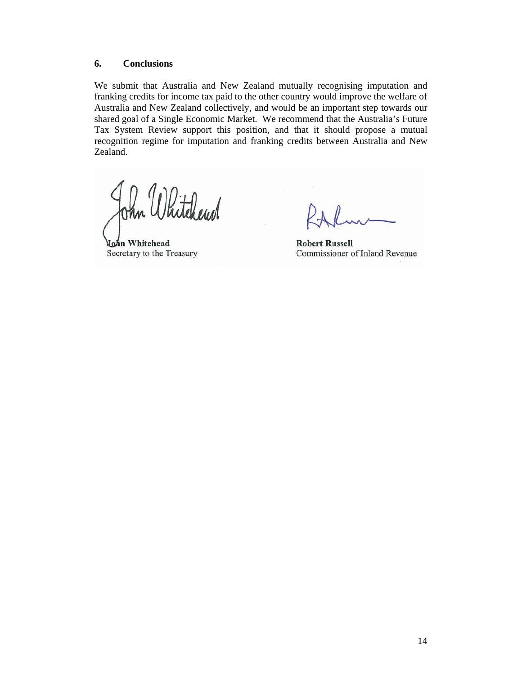#### **6. Conclusions**

We submit that Australia and New Zealand mutually recognising imputation and franking credits for income tax paid to the other country would improve the welfare of Australia and New Zealand collectively, and would be an important step towards our shared goal of a Single Economic Market. We recommend that the Australia's Future Tax System Review support this position, and that it should propose a mutual recognition regime for imputation and franking credits between Australia and New Zealand.

Vhitchewd

John Whitehead Secretary to the Treasury

**Robert Russell** Commissioner of Inland Revenue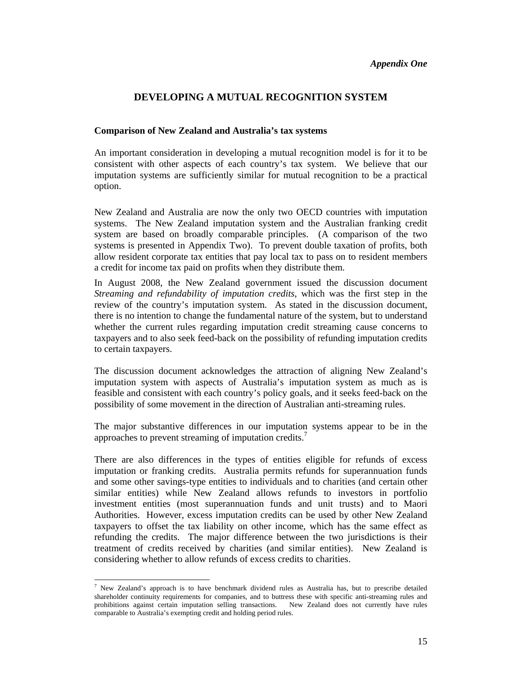## **DEVELOPING A MUTUAL RECOGNITION SYSTEM**

#### **Comparison of New Zealand and Australia's tax systems**

An important consideration in developing a mutual recognition model is for it to be consistent with other aspects of each country's tax system. We believe that our imputation systems are sufficiently similar for mutual recognition to be a practical option.

New Zealand and Australia are now the only two OECD countries with imputation systems. The New Zealand imputation system and the Australian franking credit system are based on broadly comparable principles. (A comparison of the two systems is presented in Appendix Two). To prevent double taxation of profits, both allow resident corporate tax entities that pay local tax to pass on to resident members a credit for income tax paid on profits when they distribute them.

In August 2008, the New Zealand government issued the discussion document *Streaming and refundability of imputation credits*, which was the first step in the review of the country's imputation system. As stated in the discussion document, there is no intention to change the fundamental nature of the system, but to understand whether the current rules regarding imputation credit streaming cause concerns to taxpayers and to also seek feed-back on the possibility of refunding imputation credits to certain taxpayers.

The discussion document acknowledges the attraction of aligning New Zealand's imputation system with aspects of Australia's imputation system as much as is feasible and consistent with each country's policy goals, and it seeks feed-back on the possibility of some movement in the direction of Australian anti-streaming rules.

The major substantive differences in our imputation systems appear to be in the approaches to prevent streaming of imputation credits. $^7$ 

There are also differences in the types of entities eligible for refunds of excess imputation or franking credits. Australia permits refunds for superannuation funds and some other savings-type entities to individuals and to charities (and certain other similar entities) while New Zealand allows refunds to investors in portfolio investment entities (most superannuation funds and unit trusts) and to Maori Authorities. However, excess imputation credits can be used by other New Zealand taxpayers to offset the tax liability on other income, which has the same effect as refunding the credits. The major difference between the two jurisdictions is their treatment of credits received by charities (and similar entities). New Zealand is considering whether to allow refunds of excess credits to charities.

l

<sup>&</sup>lt;sup>7</sup> New Zealand's approach is to have benchmark dividend rules as Australia has, but to prescribe detailed shareholder continuity requirements for companies, and to buttress these with specific anti-streaming rules and prohibitions against certain imputation selling transactions. New Zealand does not currently have rules comparable to Australia's exempting credit and holding period rules.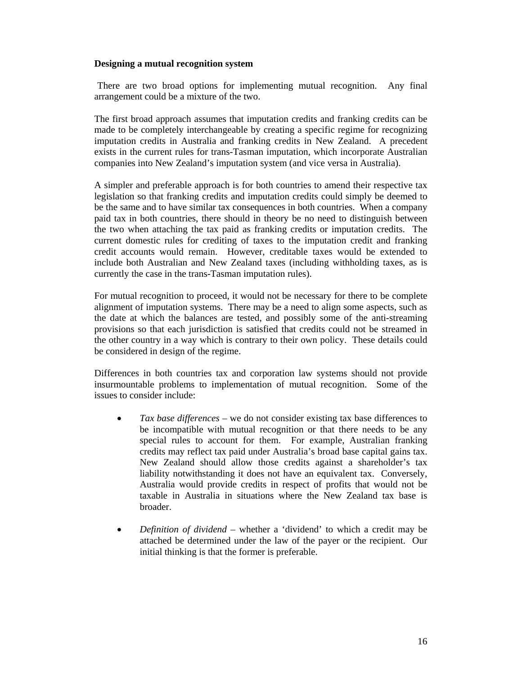#### **Designing a mutual recognition system**

There are two broad options for implementing mutual recognition. Any final arrangement could be a mixture of the two.

The first broad approach assumes that imputation credits and franking credits can be made to be completely interchangeable by creating a specific regime for recognizing imputation credits in Australia and franking credits in New Zealand. A precedent exists in the current rules for trans-Tasman imputation, which incorporate Australian companies into New Zealand's imputation system (and vice versa in Australia).

A simpler and preferable approach is for both countries to amend their respective tax legislation so that franking credits and imputation credits could simply be deemed to be the same and to have similar tax consequences in both countries.When a company paid tax in both countries, there should in theory be no need to distinguish between the two when attaching the tax paid as franking credits or imputation credits. The current domestic rules for crediting of taxes to the imputation credit and franking credit accounts would remain. However, creditable taxes would be extended to include both Australian and New Zealand taxes (including withholding taxes, as is currently the case in the trans-Tasman imputation rules).

For mutual recognition to proceed, it would not be necessary for there to be complete alignment of imputation systems. There may be a need to align some aspects, such as the date at which the balances are tested, and possibly some of the anti-streaming provisions so that each jurisdiction is satisfied that credits could not be streamed in the other country in a way which is contrary to their own policy. These details could be considered in design of the regime.

Differences in both countries tax and corporation law systems should not provide insurmountable problems to implementation of mutual recognition. Some of the issues to consider include:

- *Tax base differences* we do not consider existing tax base differences to be incompatible with mutual recognition or that there needs to be any special rules to account for them. For example, Australian franking credits may reflect tax paid under Australia's broad base capital gains tax. New Zealand should allow those credits against a shareholder's tax liability notwithstanding it does not have an equivalent tax. Conversely, Australia would provide credits in respect of profits that would not be taxable in Australia in situations where the New Zealand tax base is broader.
- *Definition of dividend* whether a 'dividend' to which a credit may be attached be determined under the law of the payer or the recipient. Our initial thinking is that the former is preferable.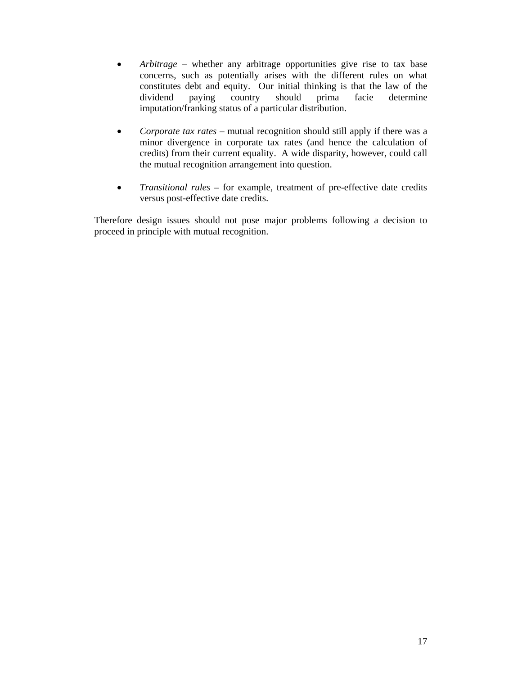- *Arbitrage* whether any arbitrage opportunities give rise to tax base concerns, such as potentially arises with the different rules on what constitutes debt and equity. Our initial thinking is that the law of the dividend paying country should prima facie determine imputation/franking status of a particular distribution.
- *Corporate tax rates –* mutual recognition should still apply if there was a minor divergence in corporate tax rates (and hence the calculation of credits) from their current equality. A wide disparity, however, could call the mutual recognition arrangement into question.
- *Transitional rules* for example, treatment of pre-effective date credits versus post-effective date credits.

Therefore design issues should not pose major problems following a decision to proceed in principle with mutual recognition.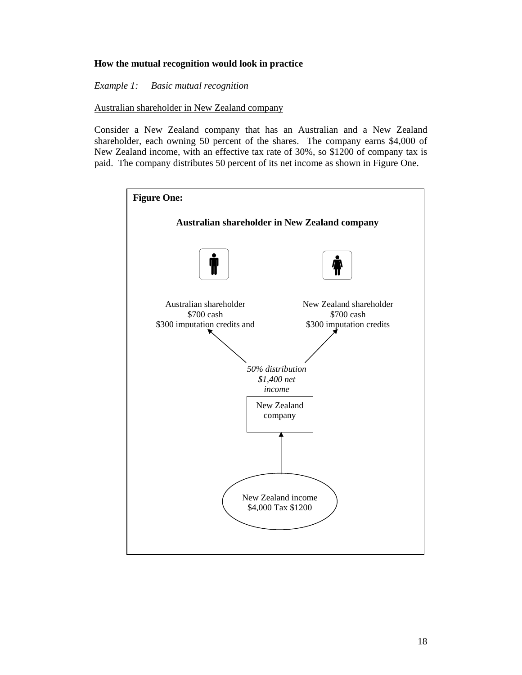### **How the mutual recognition would look in practice**

*Example 1: Basic mutual recognition* 

Australian shareholder in New Zealand company

Consider a New Zealand company that has an Australian and a New Zealand shareholder, each owning 50 percent of the shares. The company earns \$4,000 of New Zealand income, with an effective tax rate of 30%, so \$1200 of company tax is paid. The company distributes 50 percent of its net income as shown in Figure One.

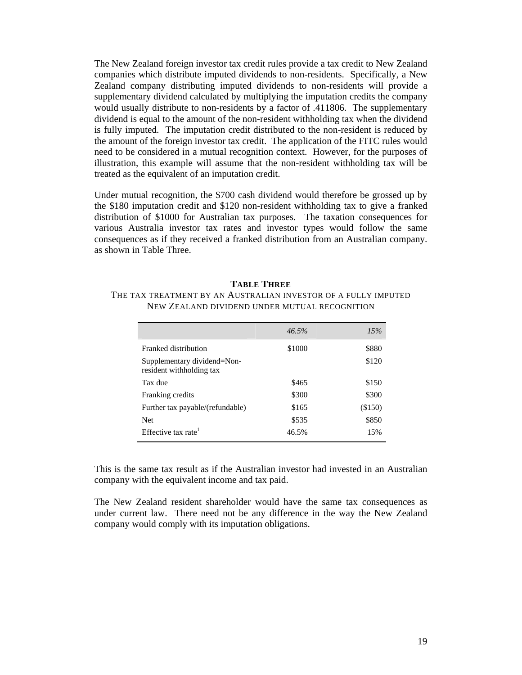The New Zealand foreign investor tax credit rules provide a tax credit to New Zealand companies which distribute imputed dividends to non-residents. Specifically, a New Zealand company distributing imputed dividends to non-residents will provide a supplementary dividend calculated by multiplying the imputation credits the company would usually distribute to non-residents by a factor of .411806. The supplementary dividend is equal to the amount of the non-resident withholding tax when the dividend is fully imputed. The imputation credit distributed to the non-resident is reduced by the amount of the foreign investor tax credit. The application of the FITC rules would need to be considered in a mutual recognition context. However, for the purposes of illustration, this example will assume that the non-resident withholding tax will be treated as the equivalent of an imputation credit.

Under mutual recognition, the \$700 cash dividend would therefore be grossed up by the \$180 imputation credit and \$120 non-resident withholding tax to give a franked distribution of \$1000 for Australian tax purposes. The taxation consequences for various Australia investor tax rates and investor types would follow the same consequences as if they received a franked distribution from an Australian company. as shown in Table Three.

#### **TABLE THREE**

THE TAX TREATMENT BY AN AUSTRALIAN INVESTOR OF A FULLY IMPUTED NEW ZEALAND DIVIDEND UNDER MUTUAL RECOGNITION

|                                                         | 46.5%  | 15%     |
|---------------------------------------------------------|--------|---------|
| Franked distribution                                    | \$1000 | \$880   |
| Supplementary dividend=Non-<br>resident withholding tax |        | \$120   |
| Tax due                                                 | \$465  | \$150   |
| Franking credits                                        | \$300  | \$300   |
| Further tax payable/(refundable)                        | \$165  | (\$150) |
| <b>Net</b>                                              | \$535  | \$850   |
| Effective tax rate <sup>1</sup>                         | 46.5%  | 15%     |

This is the same tax result as if the Australian investor had invested in an Australian company with the equivalent income and tax paid.

The New Zealand resident shareholder would have the same tax consequences as under current law. There need not be any difference in the way the New Zealand company would comply with its imputation obligations.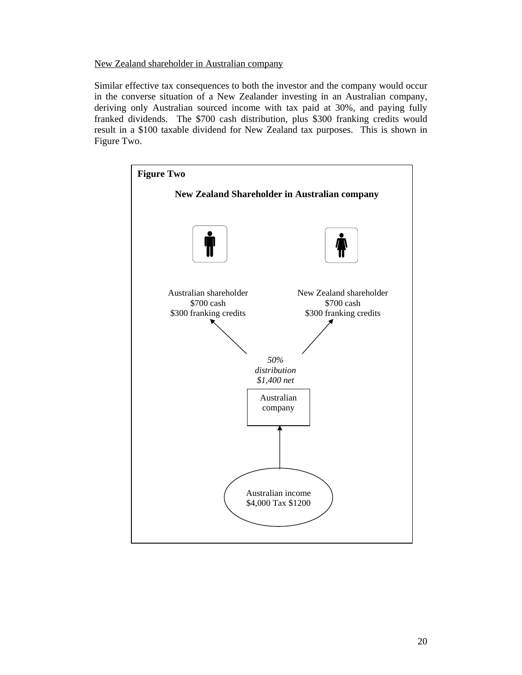### New Zealand shareholder in Australian company

Similar effective tax consequences to both the investor and the company would occur in the converse situation of a New Zealander investing in an Australian company, deriving only Australian sourced income with tax paid at 30%, and paying fully franked dividends. The \$700 cash distribution, plus \$300 franking credits would result in a \$100 taxable dividend for New Zealand tax purposes. This is shown in Figure Two.

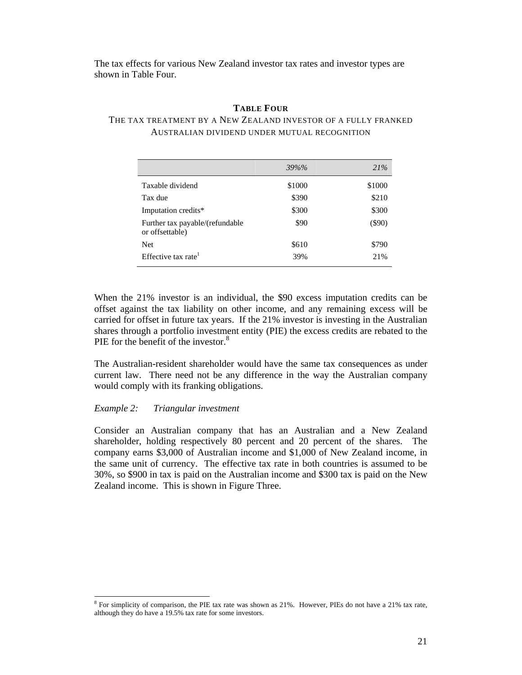The tax effects for various New Zealand investor tax rates and investor types are shown in Table Four.

#### **TABLE FOUR**

#### THE TAX TREATMENT BY A NEW ZEALAND INVESTOR OF A FULLY FRANKED AUSTRALIAN DIVIDEND UNDER MUTUAL RECOGNITION

|                                                    | 39%%   | 21%       |
|----------------------------------------------------|--------|-----------|
| Taxable dividend                                   | \$1000 | \$1000    |
| Tax due                                            | \$390  | \$210     |
| Imputation credits*                                | \$300  | \$300     |
| Further tax payable/(refundable<br>or offsettable) | \$90   | $($ \$90) |
| <b>Net</b>                                         | \$610  | \$790     |
| Effective tax rate <sup>1</sup>                    | 39%    | 21%       |

When the 21% investor is an individual, the \$90 excess imputation credits can be offset against the tax liability on other income, and any remaining excess will be carried for offset in future tax years. If the 21% investor is investing in the Australian shares through a portfolio investment entity (PIE) the excess credits are rebated to the PIE for the benefit of the investor.<sup>8</sup>

The Australian-resident shareholder would have the same tax consequences as under current law. There need not be any difference in the way the Australian company would comply with its franking obligations.

#### *Example 2: Triangular investment*

l

Consider an Australian company that has an Australian and a New Zealand shareholder, holding respectively 80 percent and 20 percent of the shares. The company earns \$3,000 of Australian income and \$1,000 of New Zealand income, in the same unit of currency. The effective tax rate in both countries is assumed to be 30%, so \$900 in tax is paid on the Australian income and \$300 tax is paid on the New Zealand income. This is shown in Figure Three.

<sup>&</sup>lt;sup>8</sup> For simplicity of comparison, the PIE tax rate was shown as 21%. However, PIEs do not have a 21% tax rate, although they do have a 19.5% tax rate for some investors.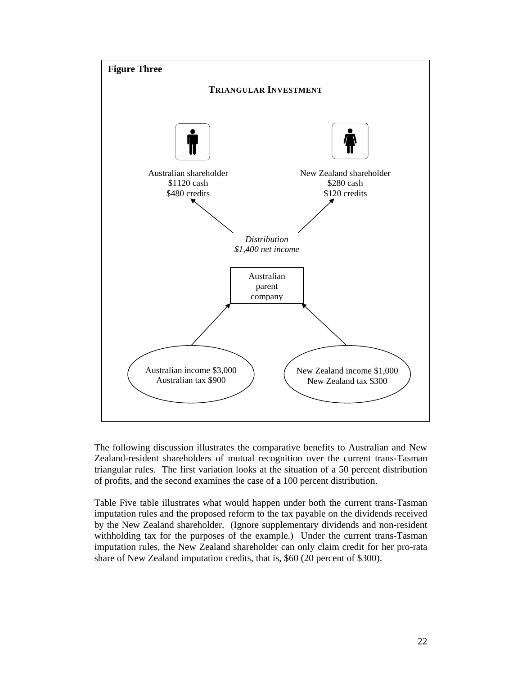

The following discussion illustrates the comparative benefits to Australian and New Zealand-resident shareholders of mutual recognition over the current trans-Tasman triangular rules. The first variation looks at the situation of a 50 percent distribution of profits, and the second examines the case of a 100 percent distribution.

Table Five table illustrates what would happen under both the current trans-Tasman imputation rules and the proposed reform to the tax payable on the dividends received by the New Zealand shareholder. (Ignore supplementary dividends and non-resident withholding tax for the purposes of the example.) Under the current trans-Tasman imputation rules, the New Zealand shareholder can only claim credit for her pro-rata share of New Zealand imputation credits, that is, \$60 (20 percent of \$300).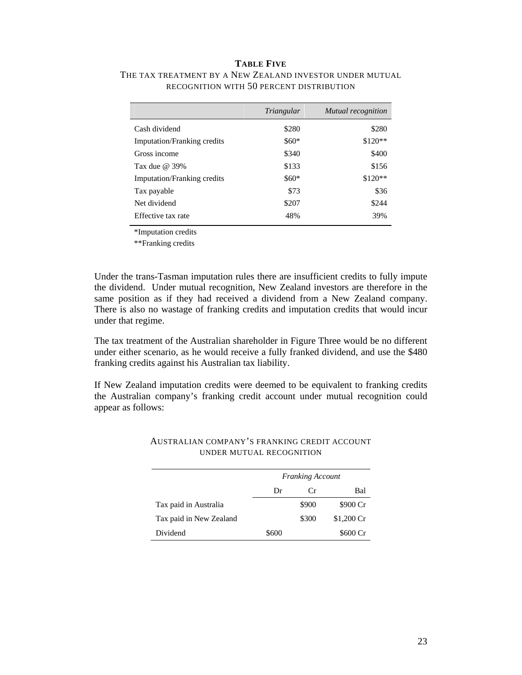#### **TABLE FIVE**

|                                    | Triangular | Mutual recognition |
|------------------------------------|------------|--------------------|
| Cash dividend                      | \$280      | \$280              |
| <b>Imputation/Franking credits</b> | $$60*$     | $$120**$           |
| Gross income                       | \$340      | \$400              |
| Tax due $\omega$ 39%               | \$133      | \$156              |
| <b>Imputation/Franking credits</b> | $$60*$     | $$120**$           |
| Tax payable                        | \$73       | \$36               |
| Net dividend                       | \$207      | \$244              |
| Effective tax rate                 | 48%        | 39%                |
|                                    |            |                    |

# THE TAX TREATMENT BY A NEW ZEALAND INVESTOR UNDER MUTUAL RECOGNITION WITH 50 PERCENT DISTRIBUTION

\*Imputation credits

\*\*Franking credits

Under the trans-Tasman imputation rules there are insufficient credits to fully impute the dividend. Under mutual recognition, New Zealand investors are therefore in the same position as if they had received a dividend from a New Zealand company. There is also no wastage of franking credits and imputation credits that would incur under that regime.

The tax treatment of the Australian shareholder in Figure Three would be no different under either scenario, as he would receive a fully franked dividend, and use the \$480 franking credits against his Australian tax liability.

If New Zealand imputation credits were deemed to be equivalent to franking credits the Australian company's franking credit account under mutual recognition could appear as follows:

|                         | <b>Franking Account</b> |       |             |
|-------------------------|-------------------------|-------|-------------|
|                         | Dr                      | € 'r  | Bal         |
| Tax paid in Australia   |                         | \$900 | \$900 Cr    |
| Tax paid in New Zealand |                         | \$300 | $$1,200$ Cr |
| Dividend                | \$600                   |       | \$600 Cr    |

#### AUSTRALIAN COMPANY'S FRANKING CREDIT ACCOUNT UNDER MUTUAL RECOGNITION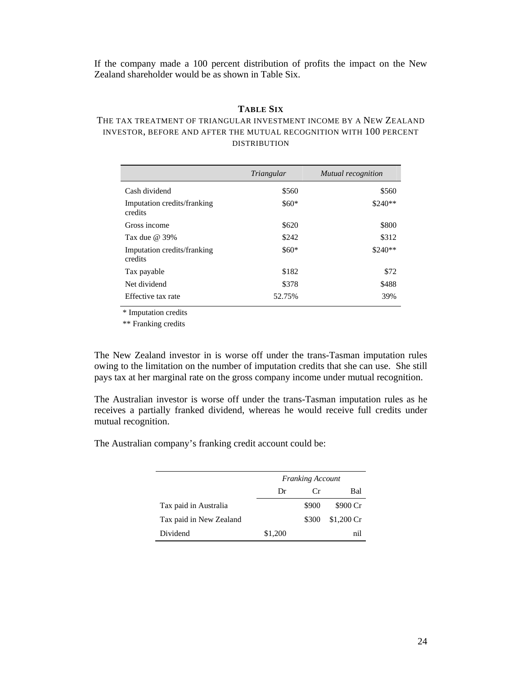If the company made a 100 percent distribution of profits the impact on the New Zealand shareholder would be as shown in Table Six.

#### **TABLE SIX**

### THE TAX TREATMENT OF TRIANGULAR INVESTMENT INCOME BY A NEW ZEALAND INVESTOR, BEFORE AND AFTER THE MUTUAL RECOGNITION WITH 100 PERCENT DISTRIBUTION

|                                        | Triangular | Mutual recognition |
|----------------------------------------|------------|--------------------|
| Cash dividend                          | \$560      | \$560              |
| Imputation credits/franking<br>credits | $$60*$     | $$240**$           |
| Gross income                           | \$620      | \$800              |
| Tax due $\omega$ 39%                   | \$242      | \$312              |
| Imputation credits/franking<br>credits | $$60*$     | $$240**$           |
| Tax payable                            | \$182      | \$72               |
| Net dividend                           | \$378      | \$488              |
| Effective tax rate                     | 52.75%     | 39%                |

\* Imputation credits

\*\* Franking credits

The New Zealand investor in is worse off under the trans-Tasman imputation rules owing to the limitation on the number of imputation credits that she can use. She still pays tax at her marginal rate on the gross company income under mutual recognition.

The Australian investor is worse off under the trans-Tasman imputation rules as he receives a partially franked dividend, whereas he would receive full credits under mutual recognition.

The Australian company's franking credit account could be:

|                         | <b>Franking Account</b> |          |             |
|-------------------------|-------------------------|----------|-------------|
|                         | Dr                      | $\alpha$ | Bal         |
| Tax paid in Australia   |                         | \$900    | \$900 Cr    |
| Tax paid in New Zealand |                         | \$300    | $$1,200$ Cr |
| Dividend                | \$1,200                 |          | nil         |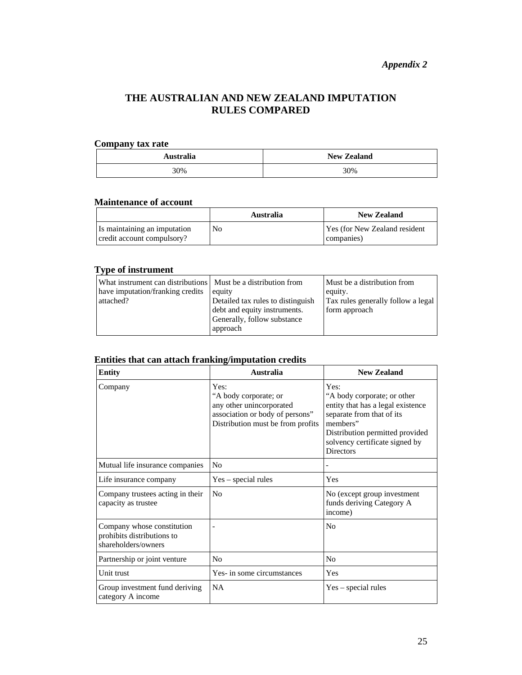# **THE AUSTRALIAN AND NEW ZEALAND IMPUTATION RULES COMPARED**

# **Company tax rate**

| Australia | <b>New Zealand</b> |
|-----------|--------------------|
| 30%       | 30%                |

#### **Maintenance of account**

|                                                            | <b>Australia</b> | <b>New Zealand</b>                                  |
|------------------------------------------------------------|------------------|-----------------------------------------------------|
| Is maintaining an imputation<br>credit account compulsory? | No               | <b>Yes (for New Zealand resident)</b><br>companies) |

# **Type of instrument**

| What instrument can distributions   Must be a distribution from<br>have imputation/franking credits<br>attached? | equity<br>Detailed tax rules to distinguish                 | Must be a distribution from<br>equity.<br>Tax rules generally follow a legal |
|------------------------------------------------------------------------------------------------------------------|-------------------------------------------------------------|------------------------------------------------------------------------------|
|                                                                                                                  | debt and equity instruments.<br>Generally, follow substance | form approach                                                                |
|                                                                                                                  | approach                                                    |                                                                              |

# **Entities that can attach franking/imputation credits**

| <b>Entity</b>                                                                   | <b>Australia</b>                                                                                                                  | <b>New Zealand</b>                                                                                                                                                                                         |
|---------------------------------------------------------------------------------|-----------------------------------------------------------------------------------------------------------------------------------|------------------------------------------------------------------------------------------------------------------------------------------------------------------------------------------------------------|
| Company                                                                         | Yes:<br>"A body corporate; or<br>any other unincorporated<br>association or body of persons"<br>Distribution must be from profits | Yes:<br>"A body corporate; or other<br>entity that has a legal existence<br>separate from that of its<br>members"<br>Distribution permitted provided<br>solvency certificate signed by<br><b>Directors</b> |
| Mutual life insurance companies                                                 | N <sub>o</sub>                                                                                                                    |                                                                                                                                                                                                            |
| Life insurance company                                                          | $Yes - special rules$                                                                                                             | Yes                                                                                                                                                                                                        |
| Company trustees acting in their<br>capacity as trustee                         | N <sub>o</sub>                                                                                                                    | No (except group investment<br>funds deriving Category A<br>income)                                                                                                                                        |
| Company whose constitution<br>prohibits distributions to<br>shareholders/owners |                                                                                                                                   | No                                                                                                                                                                                                         |
| Partnership or joint venture                                                    | N <sub>o</sub>                                                                                                                    | N <sub>o</sub>                                                                                                                                                                                             |
| Unit trust                                                                      | Yes- in some circumstances                                                                                                        | Yes                                                                                                                                                                                                        |
| Group investment fund deriving<br>category A income                             | <b>NA</b>                                                                                                                         | $Yes - special rules$                                                                                                                                                                                      |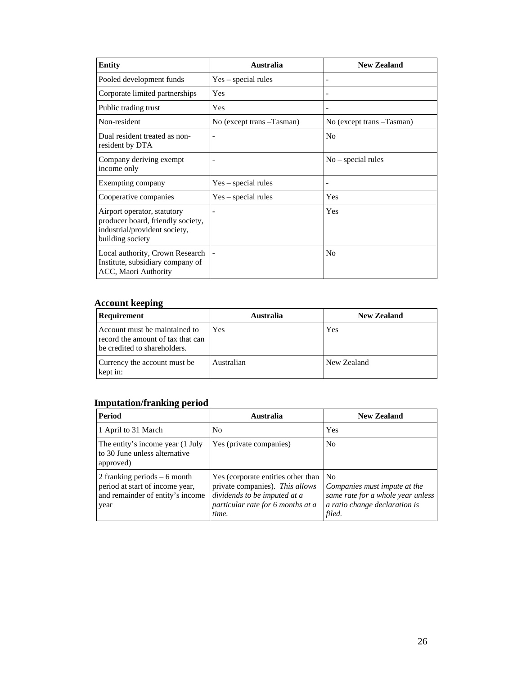| <b>Entity</b>                                                                                                         | <b>Australia</b>          | <b>New Zealand</b>        |
|-----------------------------------------------------------------------------------------------------------------------|---------------------------|---------------------------|
| Pooled development funds                                                                                              | Yes – special rules       |                           |
| Corporate limited partnerships                                                                                        | Yes                       |                           |
| Public trading trust                                                                                                  | Yes                       |                           |
| Non-resident                                                                                                          | No (except trans -Tasman) | No (except trans -Tasman) |
| Dual resident treated as non-<br>resident by DTA                                                                      |                           | N <sub>0</sub>            |
| Company deriving exempt<br>income only                                                                                |                           | $No$ – special rules      |
| Exempting company                                                                                                     | Yes - special rules       |                           |
| Cooperative companies                                                                                                 | Yes – special rules       | Yes                       |
| Airport operator, statutory<br>producer board, friendly society,<br>industrial/provident society,<br>building society |                           | Yes                       |
| Local authority, Crown Research<br>Institute, subsidiary company of<br>ACC, Maori Authority                           |                           | N <sub>0</sub>            |

#### **Account keeping**

| Requirement                                                                                        | <b>Australia</b> | <b>New Zealand</b> |
|----------------------------------------------------------------------------------------------------|------------------|--------------------|
| Account must be maintained to<br>record the amount of tax that can<br>be credited to shareholders. | Yes              | Yes                |
| Currency the account must be<br>kept in:                                                           | Australian       | New Zealand        |

# **Imputation/franking period**

| <b>Period</b>                                                                                                | Australia                                                                                                                                           | <b>New Zealand</b>                                                                                                             |
|--------------------------------------------------------------------------------------------------------------|-----------------------------------------------------------------------------------------------------------------------------------------------------|--------------------------------------------------------------------------------------------------------------------------------|
| 1 April to 31 March                                                                                          | N <sub>0</sub>                                                                                                                                      | Yes                                                                                                                            |
| The entity's income year (1 July<br>to 30 June unless alternative<br>approved)                               | Yes (private companies)                                                                                                                             | N <sub>0</sub>                                                                                                                 |
| 2 franking periods $-6$ month<br>period at start of income year,<br>and remainder of entity's income<br>year | Yes (corporate entities other than<br>private companies). This allows<br>dividends to be imputed at a<br>particular rate for 6 months at a<br>time. | N <sub>0</sub><br>Companies must impute at the<br>same rate for a whole year unless<br>a ratio change declaration is<br>filed. |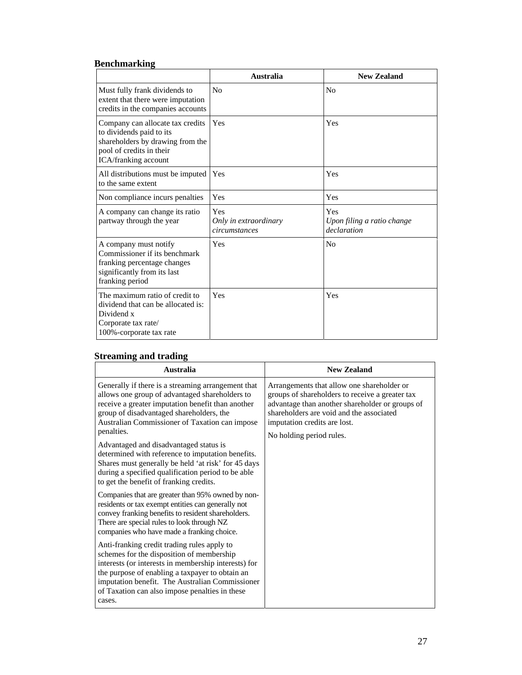# **Benchmarking**

|                                                                                                                                                      | Australia                                     | <b>New Zealand</b>                               |
|------------------------------------------------------------------------------------------------------------------------------------------------------|-----------------------------------------------|--------------------------------------------------|
| Must fully frank dividends to<br>extent that there were imputation<br>credits in the companies accounts                                              | No                                            | N <sub>0</sub>                                   |
| Company can allocate tax credits<br>to dividends paid to its<br>shareholders by drawing from the<br>pool of credits in their<br>ICA/franking account | Yes                                           | Yes                                              |
| All distributions must be imputed<br>to the same extent                                                                                              | Yes                                           | Yes                                              |
| Non compliance incurs penalties                                                                                                                      | Yes                                           | Yes                                              |
| A company can change its ratio<br>partway through the year                                                                                           | Yes<br>Only in extraordinary<br>circumstances | Yes<br>Upon filing a ratio change<br>declaration |
| A company must notify<br>Commissioner if its benchmark<br>franking percentage changes<br>significantly from its last<br>franking period              | Yes                                           | No                                               |
| The maximum ratio of credit to<br>dividend that can be allocated is:<br>Dividend x<br>Corporate tax rate/<br>100%-corporate tax rate                 | Yes                                           | Yes                                              |

# **Streaming and trading**

| <b>Australia</b>                                                                                                                                                                                                                                                                                                                                                                                                                                                                                                             | <b>New Zealand</b>                                                                                                                                                                                                                                       |
|------------------------------------------------------------------------------------------------------------------------------------------------------------------------------------------------------------------------------------------------------------------------------------------------------------------------------------------------------------------------------------------------------------------------------------------------------------------------------------------------------------------------------|----------------------------------------------------------------------------------------------------------------------------------------------------------------------------------------------------------------------------------------------------------|
| Generally if there is a streaming arrangement that<br>allows one group of advantaged shareholders to<br>receive a greater imputation benefit than another<br>group of disadvantaged shareholders, the<br>Australian Commissioner of Taxation can impose<br>penalties.<br>Advantaged and disadvantaged status is<br>determined with reference to imputation benefits.<br>Shares must generally be held 'at risk' for 45 days<br>during a specified qualification period to be able<br>to get the benefit of franking credits. | Arrangements that allow one shareholder or<br>groups of shareholders to receive a greater tax<br>advantage than another shareholder or groups of<br>shareholders are void and the associated<br>imputation credits are lost.<br>No holding period rules. |
| Companies that are greater than 95% owned by non-<br>residents or tax exempt entities can generally not<br>convey franking benefits to resident shareholders.<br>There are special rules to look through NZ<br>companies who have made a franking choice.                                                                                                                                                                                                                                                                    |                                                                                                                                                                                                                                                          |
| Anti-franking credit trading rules apply to<br>schemes for the disposition of membership<br>interests (or interests in membership interests) for<br>the purpose of enabling a taxpayer to obtain an<br>imputation benefit. The Australian Commissioner<br>of Taxation can also impose penalties in these<br>cases.                                                                                                                                                                                                           |                                                                                                                                                                                                                                                          |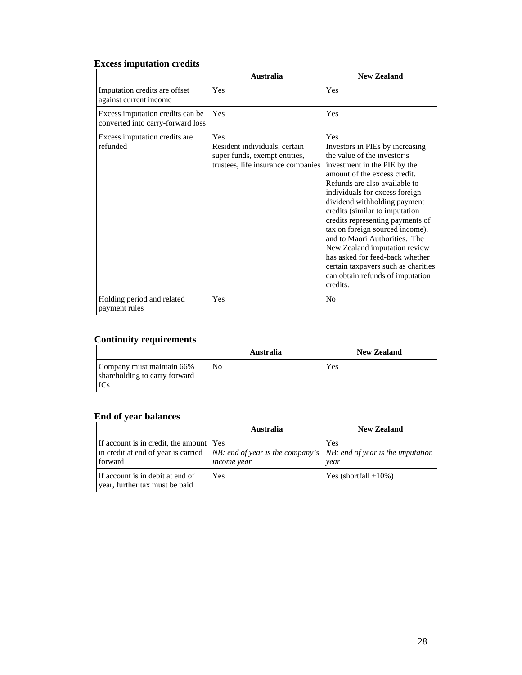# **Excess imputation credits**

|                                                                       | Australia                                                                                                   | <b>New Zealand</b>                                                                                                                                                                                                                                                                                                                                                                                                                                                                                                                                   |
|-----------------------------------------------------------------------|-------------------------------------------------------------------------------------------------------------|------------------------------------------------------------------------------------------------------------------------------------------------------------------------------------------------------------------------------------------------------------------------------------------------------------------------------------------------------------------------------------------------------------------------------------------------------------------------------------------------------------------------------------------------------|
| Imputation credits are offset<br>against current income               | Yes                                                                                                         | <b>Yes</b>                                                                                                                                                                                                                                                                                                                                                                                                                                                                                                                                           |
| Excess imputation credits can be<br>converted into carry-forward loss | Yes                                                                                                         | Yes                                                                                                                                                                                                                                                                                                                                                                                                                                                                                                                                                  |
| Excess imputation credits are<br>refunded                             | Yes<br>Resident individuals, certain<br>super funds, exempt entities,<br>trustees, life insurance companies | <b>Yes</b><br>Investors in PIEs by increasing<br>the value of the investor's<br>investment in the PIE by the<br>amount of the excess credit.<br>Refunds are also available to<br>individuals for excess foreign<br>dividend withholding payment<br>credits (similar to imputation<br>credits representing payments of<br>tax on foreign sourced income),<br>and to Maori Authorities. The<br>New Zealand imputation review<br>has asked for feed-back whether<br>certain taxpayers such as charities<br>can obtain refunds of imputation<br>credits. |
| Holding period and related<br>payment rules                           | Yes                                                                                                         | No                                                                                                                                                                                                                                                                                                                                                                                                                                                                                                                                                   |

# **Continuity requirements**

|                                                            | Australia      | <b>New Zealand</b> |
|------------------------------------------------------------|----------------|--------------------|
| Company must maintain 66%<br>shareholding to carry forward | N <sub>0</sub> | Yes                |

# **End of year balances**

|                                                                                                                                                                     | <b>Australia</b>   | <b>New Zealand</b>     |
|---------------------------------------------------------------------------------------------------------------------------------------------------------------------|--------------------|------------------------|
| If account is in credit, the amount Yes<br>in credit at end of year is carried   $NB$ : end of year is the company's   NB: end of year is the imputation<br>forward | <i>income</i> year | Yes<br>year            |
| If account is in debit at end of<br>year, further tax must be paid                                                                                                  | <b>Yes</b>         | $Yes$ (shortfall +10%) |